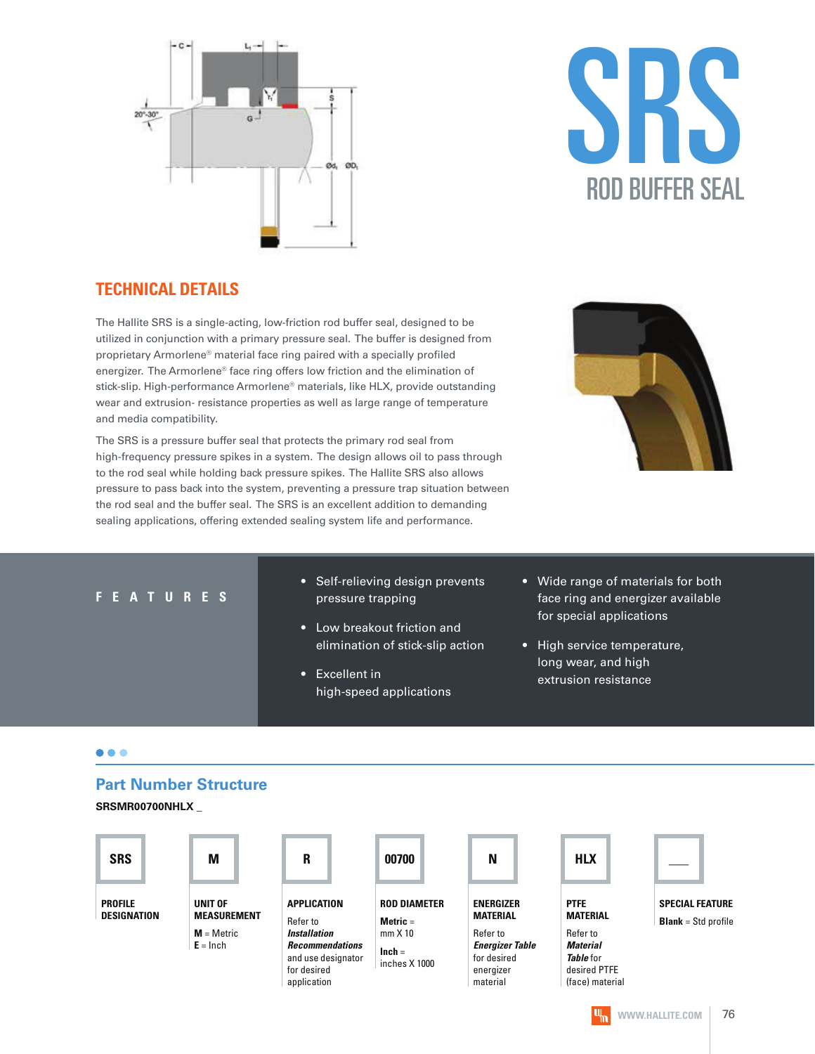



#### **TECHNICAL DETAILS**

The Hallite SRS is a single-acting, low-friction rod buffer seal, designed to be utilized in conjunction with a primary pressure seal. The buffer is designed from proprietary Armorlene® material face ring paired with a specially profiled energizer. The Armorlene® face ring offers low friction and the elimination of stick-slip. High-performance Armorlene® materials, like HLX, provide outstanding wear and extrusion- resistance properties as well as large range of temperature and media compatibility.

The SRS is a pressure buffer seal that protects the primary rod seal from high-frequency pressure spikes in a system. The design allows oil to pass through to the rod seal while holding back pressure spikes. The Hallite SRS also allows pressure to pass back into the system, preventing a pressure trap situation between the rod seal and the buffer seal. The SRS is an excellent addition to demanding sealing applications, offering extended sealing system life and performance.



#### **F E A T U R E S**

- Self-relieving design prevents pressure trapping
- Low breakout friction and elimination of stick-slip action
- Excellent in high-speed applications
- Wide range of materials for both face ring and energizer available for special applications
- High service temperature, long wear, and high extrusion resistance

#### $\bullet\bullet\bullet$

#### **Part Number Structure**

**SRSMR00700NHLX \_**

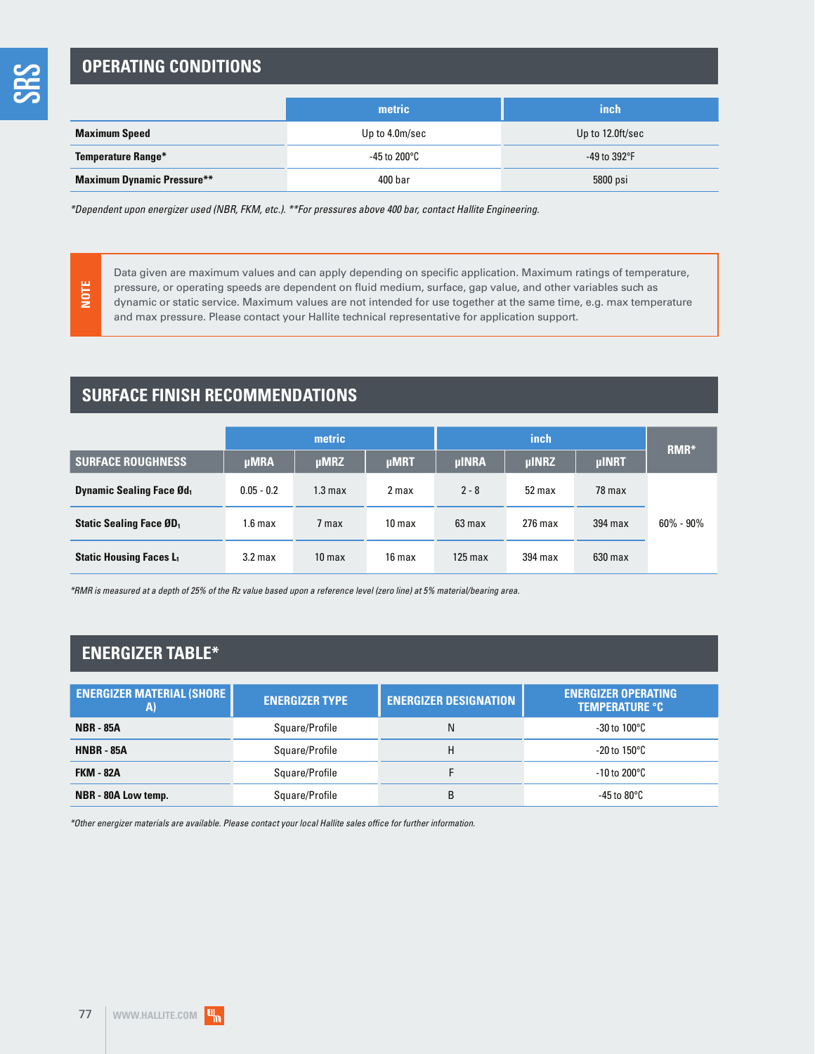**NOTE**

## **OPERATING CONDITIONS**

|                                   | metric         | inch                 |  |
|-----------------------------------|----------------|----------------------|--|
| <b>Maximum Speed</b>              | Up to 4.0m/sec | Up to 12.0ft/sec     |  |
| <b>Temperature Range*</b>         | -45 to 200°C   | -49 to $392^\circ F$ |  |
| <b>Maximum Dynamic Pressure**</b> | 400 bar        | 5800 psi             |  |

\*Dependent upon energizer used (NBR, FKM, etc.). \*\*For pressures above 400 bar, contact Hallite Engineering.

Data given are maximum values and can apply depending on specific application. Maximum ratings of temperature, pressure, or operating speeds are dependent on fluid medium, surface, gap value, and other variables such as dynamic or static service. Maximum values are not intended for use together at the same time, e.g. max temperature and max pressure. Please contact your Hallite technical representative for application support.

## **SURFACE FINISH RECOMMENDATIONS**

|                                             | metric             |                    |                   |              | RMR <sup>*</sup> |              |               |
|---------------------------------------------|--------------------|--------------------|-------------------|--------------|------------------|--------------|---------------|
| <b>SURFACE ROUGHNESS</b>                    | <b>µMRA</b>        | $\mu$ MRZ          | <b>µMRT</b>       | <b>µINRA</b> | <b>µINRZ</b>     | <b>µINRT</b> |               |
| <b>Dynamic Sealing Face Ød</b> <sub>1</sub> | $0.05 - 0.2$       | 1.3 <sub>max</sub> | 2 max             | $2 - 8$      | 52 max           | 78 max       |               |
| <b>Static Sealing Face ØD</b> <sub>1</sub>  | 1.6 <sub>max</sub> | 7 max              | 10 <sub>max</sub> | 63 max       | $276$ max        | 394 max      | $60\% - 90\%$ |
| <b>Static Housing Faces L1</b>              | 3.2 <sub>max</sub> | 10 <sub>max</sub>  | 16 max            | $125$ max    | 394 max          | $630$ max    |               |

\*RMR is measured at a depth of 25% of the Rz value based upon a reference level (zero line) at 5% material/bearing area.

### **ENERGIZER TABLE\***

| <b>ENERGIZER MATERIAL (SHORE</b><br>A) | <b>ENERGIZER TYPE</b> |   | <b>ENERGIZER OPERATING</b><br><b>TEMPERATURE °C</b> |  |  |
|----------------------------------------|-----------------------|---|-----------------------------------------------------|--|--|
| <b>NBR - 85A</b>                       | Square/Profile        | N | $-30$ to $100^{\circ}$ C                            |  |  |
| <b>HNBR - 85A</b>                      | Square/Profile        | H | $-20$ to 150 $\degree$ C                            |  |  |
| <b>FKM - 82A</b>                       | Square/Profile        |   | $-10$ to 200 $\degree$ C                            |  |  |
| NBR - 80A Low temp.                    | Square/Profile        | B | -45 to 80 $^{\circ}$ C                              |  |  |

\*Other energizer materials are available. Please contact your local Hallite sales office for further information.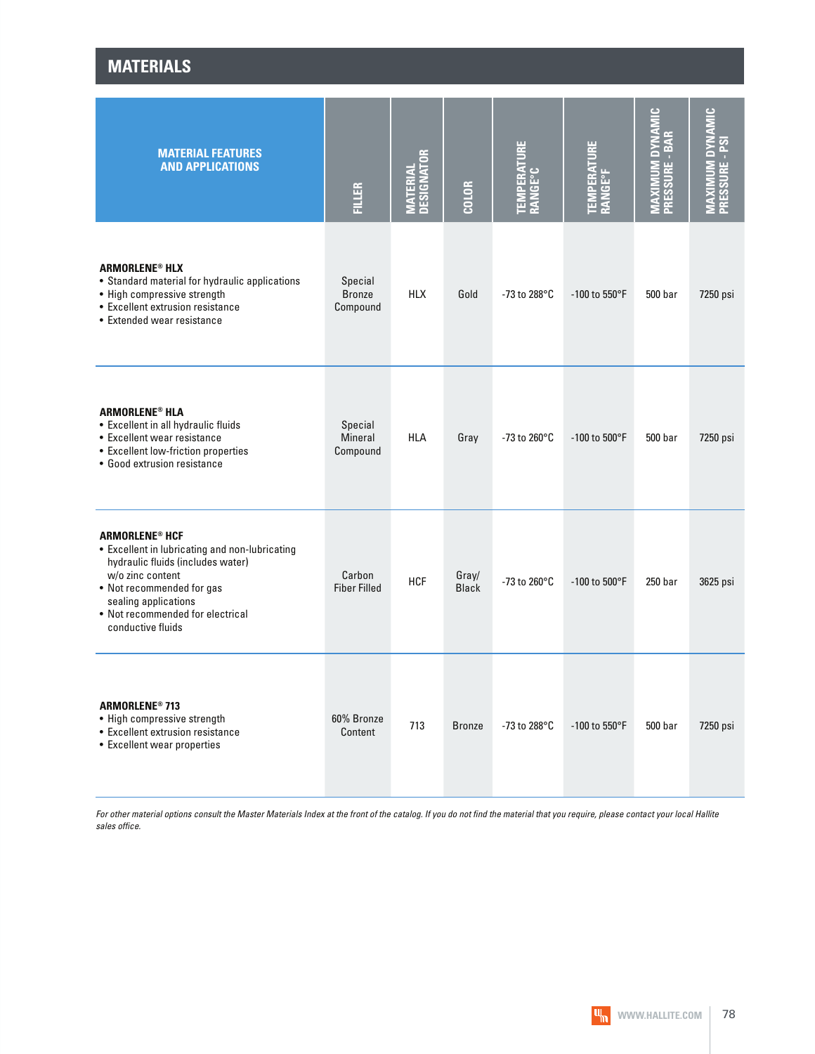| <b>MATERIAL FEATURES</b><br><b>AND APPLICATIONS</b>                                                                                                                                                                                                       | <b>FILLER</b>                         | <b>MATERIAL<br/>DESIGNATOR</b> | <b>COLOR</b>          | <b>TEMPERATURE<br/>RANGE°C</b> | <b>TEMPERATURE<br/>RANGE°F</b> | DYNAMIC<br>MAXIMUM DYNA<br>PRESSURE - BAR | <b>AMIC</b><br>ΣXΟ<br>PRESSURE - PSI<br>⋚ |
|-----------------------------------------------------------------------------------------------------------------------------------------------------------------------------------------------------------------------------------------------------------|---------------------------------------|--------------------------------|-----------------------|--------------------------------|--------------------------------|-------------------------------------------|-------------------------------------------|
| <b>ARMORLENE<sup>®</sup> HLX</b><br>• Standard material for hydraulic applications<br>• High compressive strength<br>• Excellent extrusion resistance<br>• Extended wear resistance                                                                       | Special<br><b>Bronze</b><br>Compound  | <b>HLX</b>                     | Gold                  | -73 to 288°C                   | $-100$ to 550°F                | 500 bar                                   | 7250 psi                                  |
| <b>ARMORLENE<sup>®</sup> HLA</b><br>• Excellent in all hydraulic fluids<br>• Excellent wear resistance<br>• Excellent low-friction properties<br>• Good extrusion resistance                                                                              | Special<br><b>Mineral</b><br>Compound | <b>HLA</b>                     | Gray                  | -73 to 260 $^{\circ}$ C        | $-100$ to $500^{\circ}$ F      | 500 bar                                   | 7250 psi                                  |
| <b>ARMORLENE<sup>®</sup> HCF</b><br>• Excellent in lubricating and non-lubricating<br>hydraulic fluids (includes water)<br>w/o zinc content<br>• Not recommended for gas<br>sealing applications<br>• Not recommended for electrical<br>conductive fluids | Carbon<br><b>Fiber Filled</b>         | <b>HCF</b>                     | Gray/<br><b>Black</b> | -73 to 260 $^{\circ}$ C        | $-100$ to $500^{\circ}$ F      | 250 bar                                   | 3625 psi                                  |
| <b>ARMORLENE® 713</b><br>• High compressive strength<br>• Excellent extrusion resistance<br>• Excellent wear properties                                                                                                                                   | 60% Bronze<br>Content                 | 713                            | <b>Bronze</b>         | -73 to 288°C                   | -100 to 550°F                  | 500 bar                                   | 7250 psi                                  |

**MATERIALS**

For other material options consult the Master Materials Index at the front of the catalog. If you do not find the material that you require, please contact your local Hallite sales office.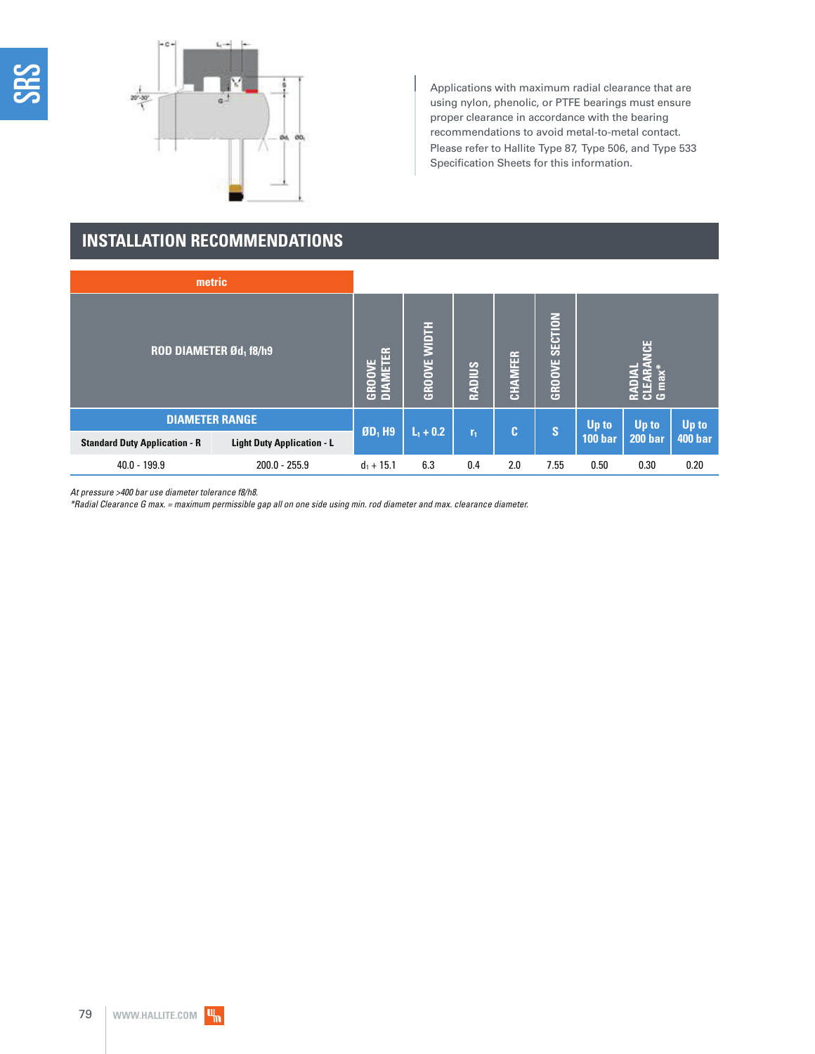



Applications with maximum radial clearance that are using nylon, phenolic, or PTFE bearings must ensure proper clearance in accordance with the bearing recommendations to avoid metal-to-metal contact. Please refer to Hallite Type 87, Type 506, and Type 533 Specification Sheets for this information.

## **INSTALLATION RECOMMENDATIONS**

| metric                               |                                   |                           |                     |                |         |                |                |                      |                |
|--------------------------------------|-----------------------------------|---------------------------|---------------------|----------------|---------|----------------|----------------|----------------------|----------------|
| <b>ROD DIAMETER Ød1 f8/h9</b>        |                                   | <b>DIAMETER</b><br>GROOVE | <b>GROOVE WIDTH</b> | <b>RADIUS</b>  | CHAMFER | GROOVE SECTION |                | 별<br>E<br><b>ි</b> ප |                |
| <b>DIAMETER RANGE</b>                |                                   |                           |                     |                |         |                | Up to          | Up to                | Up to          |
| <b>Standard Duty Application - R</b> | <b>Light Duty Application - L</b> | $ØD1$ H9                  | $L_1 + 0.2$         | r <sub>1</sub> | IC I    | 'S             | <b>100 bar</b> | <b>200 bar</b>       | <b>400 bar</b> |
| $40.0 - 199.9$                       | $200.0 - 255.9$                   | $d_1 + 15.1$              | 6.3                 | 0.4            | 2.0     | 7.55           | 0.50           | 0.30                 | 0.20           |

At pressure >400 bar use diameter tolerance f8/h8.

\*Radial Clearance G max. = maximum permissible gap all on one side using min. rod diameter and max. clearance diameter.

IЩ,